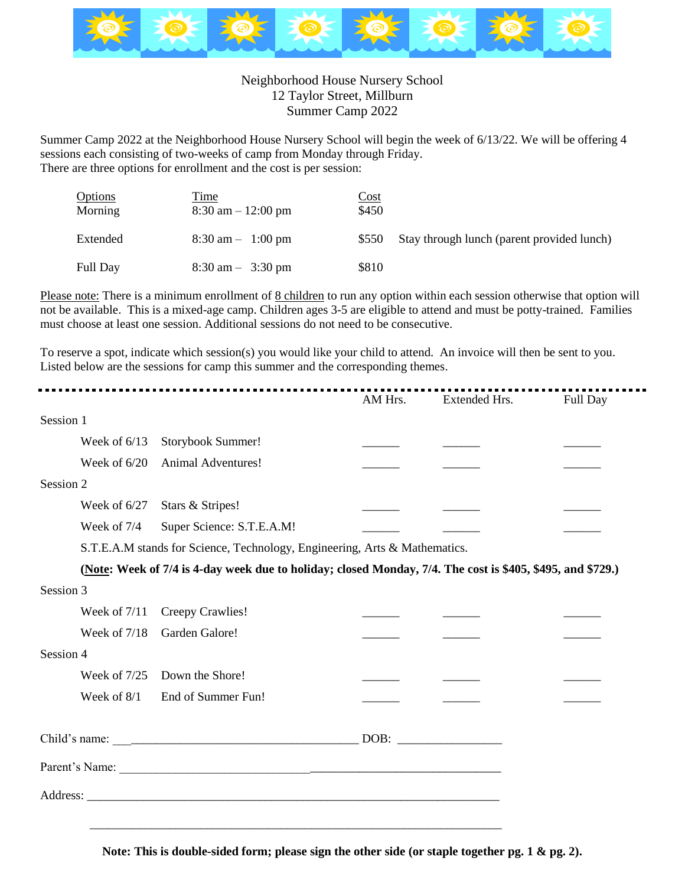

## Neighborhood House Nursery School 12 Taylor Street, Millburn Summer Camp 2022

Summer Camp 2022 at the Neighborhood House Nursery School will begin the week of 6/13/22. We will be offering 4 sessions each consisting of two-weeks of camp from Monday through Friday. There are three options for enrollment and the cost is per session:

| <b>Options</b><br>Morning | Time<br>$8:30$ am $-12:00$ pm       | Cost<br>\$450 |                                            |
|---------------------------|-------------------------------------|---------------|--------------------------------------------|
| Extended                  | $8:30 \text{ am} - 1:00 \text{ pm}$ | \$550         | Stay through lunch (parent provided lunch) |
| <b>Full Day</b>           | $8:30 \text{ am} - 3:30 \text{ pm}$ | \$810         |                                            |

Please note: There is a minimum enrollment of 8 children to run any option within each session otherwise that option will not be available. This is a mixed-age camp. Children ages 3-5 are eligible to attend and must be potty-trained. Families must choose at least one session. Additional sessions do not need to be consecutive.

 $\blacksquare$ 

To reserve a spot, indicate which session(s) you would like your child to attend. An invoice will then be sent to you. Listed below are the sessions for camp this summer and the corresponding themes.

|           |                                                                            |                                                                                                            | AM Hrs. | Extended Hrs. | Full Day |  |  |
|-----------|----------------------------------------------------------------------------|------------------------------------------------------------------------------------------------------------|---------|---------------|----------|--|--|
| Session 1 |                                                                            |                                                                                                            |         |               |          |  |  |
|           | Week of $6/13$                                                             | Storybook Summer!                                                                                          |         |               |          |  |  |
|           | Week of $6/20$                                                             | <b>Animal Adventures!</b>                                                                                  |         |               |          |  |  |
| Session 2 |                                                                            |                                                                                                            |         |               |          |  |  |
|           | Week of $6/27$                                                             | Stars & Stripes!                                                                                           |         |               |          |  |  |
|           | Week of 7/4                                                                | Super Science: S.T.E.A.M!                                                                                  |         |               |          |  |  |
|           | S.T.E.A.M stands for Science, Technology, Engineering, Arts & Mathematics. |                                                                                                            |         |               |          |  |  |
|           |                                                                            | (Note: Week of 7/4 is 4-day week due to holiday; closed Monday, 7/4. The cost is \$405, \$495, and \$729.) |         |               |          |  |  |
| Session 3 |                                                                            |                                                                                                            |         |               |          |  |  |
|           | Week of $7/11$                                                             | Creepy Crawlies!                                                                                           |         |               |          |  |  |
|           | Week of $7/18$                                                             | Garden Galore!                                                                                             |         |               |          |  |  |
| Session 4 |                                                                            |                                                                                                            |         |               |          |  |  |
|           | Week of 7/25                                                               | Down the Shore!                                                                                            |         |               |          |  |  |
|           | Week of 8/1                                                                | End of Summer Fun!                                                                                         |         |               |          |  |  |
|           |                                                                            |                                                                                                            |         |               |          |  |  |
|           |                                                                            |                                                                                                            |         |               |          |  |  |
|           |                                                                            |                                                                                                            |         |               |          |  |  |
|           |                                                                            |                                                                                                            |         |               |          |  |  |
|           |                                                                            |                                                                                                            |         |               |          |  |  |

**Note: This is double-sided form; please sign the other side (or staple together pg. 1 & pg. 2).**